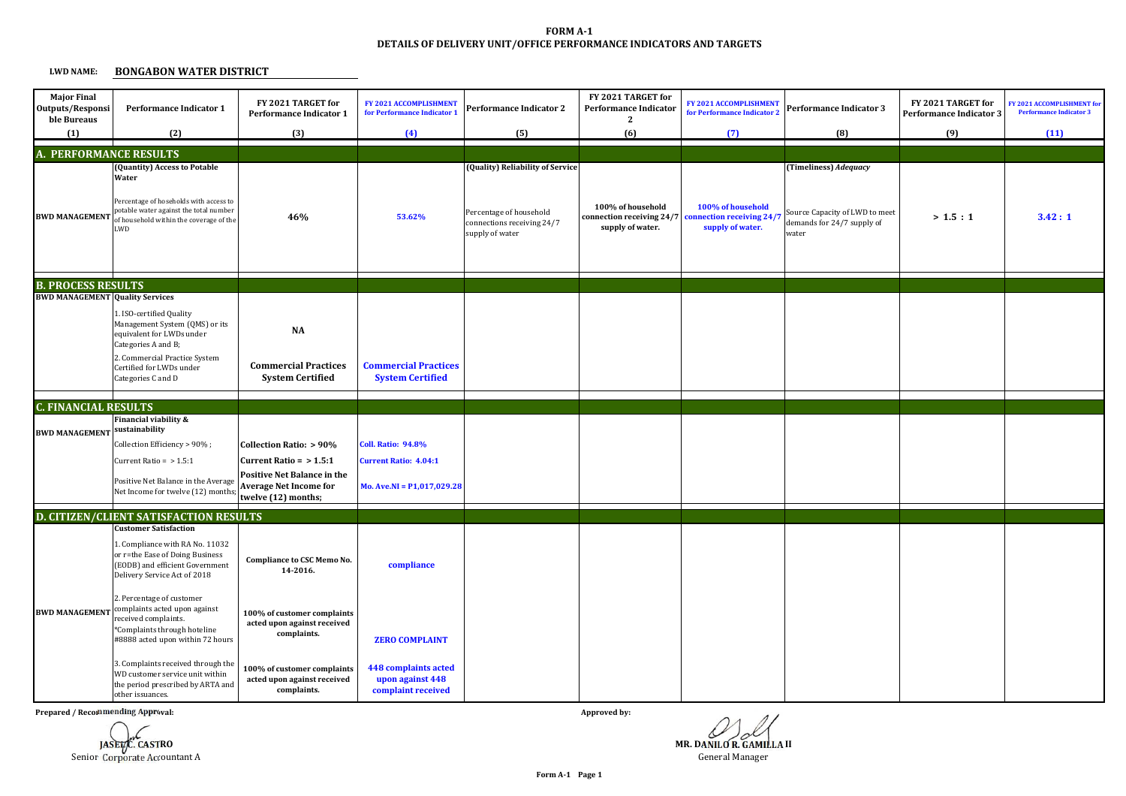## **DETAILS OF DELIVERY UNIT/OFFICE PERFORMANCE INDICATORS AND TARGETS FORM A-1**

## **LWD NAME:BONGABON WATER DISTRICT**

| <b>Major Final</b><br>Outputs/Responsi<br>ble Bureaus | <b>Performance Indicator 1</b>                                                                                                                                                                    | FY 2021 TARGET for<br><b>Performance Indicator 1</b>                                                                    | FY 2021 ACCOMPLISHMENT<br>for Performance Indicator 1                 | Performance Indicator 2                                                                                      | FY 2021 TARGET for<br><b>Performance Indicator</b><br>$\mathbf{2}$ | <b>FY 2021 ACCOMPLISHMENT</b><br>for Performance Indicator 2      | Performance Indicator 3                                                                        | FY 2021 TARGET for<br><b>Performance Indicator 3</b> | FY 2021 ACCOMPLISHMENT for<br><b>Performance Indicator 3</b> |
|-------------------------------------------------------|---------------------------------------------------------------------------------------------------------------------------------------------------------------------------------------------------|-------------------------------------------------------------------------------------------------------------------------|-----------------------------------------------------------------------|--------------------------------------------------------------------------------------------------------------|--------------------------------------------------------------------|-------------------------------------------------------------------|------------------------------------------------------------------------------------------------|------------------------------------------------------|--------------------------------------------------------------|
| (1)                                                   | (2)                                                                                                                                                                                               | (3)                                                                                                                     | (4)                                                                   | (5)                                                                                                          | (6)                                                                | (7)                                                               | (8)                                                                                            | (9)                                                  | (11)                                                         |
|                                                       | <b>A. PERFORMANCE RESULTS</b>                                                                                                                                                                     |                                                                                                                         |                                                                       |                                                                                                              |                                                                    |                                                                   |                                                                                                |                                                      |                                                              |
| <b>BWD MANAGEMENT</b>                                 | (Quantity) Access to Potable<br>Water<br>Percentage of hoseholds with access to<br>potable water against the total number<br>of household within the coverage of the<br>LWD                       | 46%                                                                                                                     | 53.62%                                                                | (Quality) Reliability of Service<br>Percentage of household<br>connections receiving 24/7<br>supply of water | 100% of household<br>connection receiving 24/7<br>supply of water. | 100% of household<br>connection receiving 24/<br>supply of water. | (Timeliness) Adequacy<br>Source Capacity of LWD to meet<br>demands for 24/7 supply of<br>water | > 1.5 : 1                                            | 3.42:1                                                       |
| <b>B. PROCESS RESULTS</b>                             |                                                                                                                                                                                                   |                                                                                                                         |                                                                       |                                                                                                              |                                                                    |                                                                   |                                                                                                |                                                      |                                                              |
| <b>BWD MANAGEMENT Quality Services</b>                | 1. ISO-certified Quality<br>Management System (QMS) or its<br>equivalent for LWDs under<br>Categories A and B;<br>2. Commercial Practice System<br>Certified for LWDs under<br>Categories C and D | <b>NA</b><br><b>Commercial Practices</b><br><b>System Certified</b>                                                     | <b>Commercial Practices</b><br><b>System Certified</b>                |                                                                                                              |                                                                    |                                                                   |                                                                                                |                                                      |                                                              |
| <b>C. FINANCIAL RESULTS</b>                           |                                                                                                                                                                                                   |                                                                                                                         |                                                                       |                                                                                                              |                                                                    |                                                                   |                                                                                                |                                                      |                                                              |
| <b>BWD MANAGEMENT</b>                                 | Financial viability &<br>sustainability<br>Collection Efficiency > 90%;                                                                                                                           | Collection Ratio: > 90%                                                                                                 | <b>Coll. Ratio: 94.8%</b>                                             |                                                                                                              |                                                                    |                                                                   |                                                                                                |                                                      |                                                              |
|                                                       | Current Ratio = $> 1.5:1$<br>Positive Net Balance in the Average<br>Net Income for twelve (12) months                                                                                             | Current Ratio = $> 1.5:1$<br><b>Positive Net Balance in the</b><br><b>Average Net Income for</b><br>twelve (12) months; | <b>Current Ratio: 4.04:1</b><br>Mo. Ave.NI = $P1,017,029.28$          |                                                                                                              |                                                                    |                                                                   |                                                                                                |                                                      |                                                              |
|                                                       | D. CITIZEN/CLIENT SATISFACTION RESULTS                                                                                                                                                            |                                                                                                                         |                                                                       |                                                                                                              |                                                                    |                                                                   |                                                                                                |                                                      |                                                              |
|                                                       | <b>Customer Satisfaction</b><br>1. Compliance with RA No. 11032<br>or r=the Ease of Doing Business<br>(EODB) and efficient Government<br>Delivery Service Act of 2018                             | Compliance to CSC Memo No.<br>14-2016.                                                                                  | compliance                                                            |                                                                                                              |                                                                    |                                                                   |                                                                                                |                                                      |                                                              |
| <b>BWD MANAGEMENT</b>                                 | 2. Percentage of customer<br>complaints acted upon against<br>received complaints.<br>*Complaints through hoteline<br>#8888 acted upon within 72 hours                                            | 100% of customer complaints<br>acted upon against received<br>complaints.                                               | <b>ZERO COMPLAINT</b>                                                 |                                                                                                              |                                                                    |                                                                   |                                                                                                |                                                      |                                                              |
|                                                       | 3. Complaints received through the<br>WD customer service unit within<br>the period prescribed by ARTA and<br>other issuances.                                                                    | 100% of customer complaints<br>acted upon against received<br>complaints.                                               | <b>448 complaints acted</b><br>upon against 448<br>complaint received |                                                                                                              |                                                                    |                                                                   |                                                                                                |                                                      |                                                              |

**Prepared / Recommending Approval:**



**Approved by:**

**MR. DANILO R. GAMILLA II**

General Manager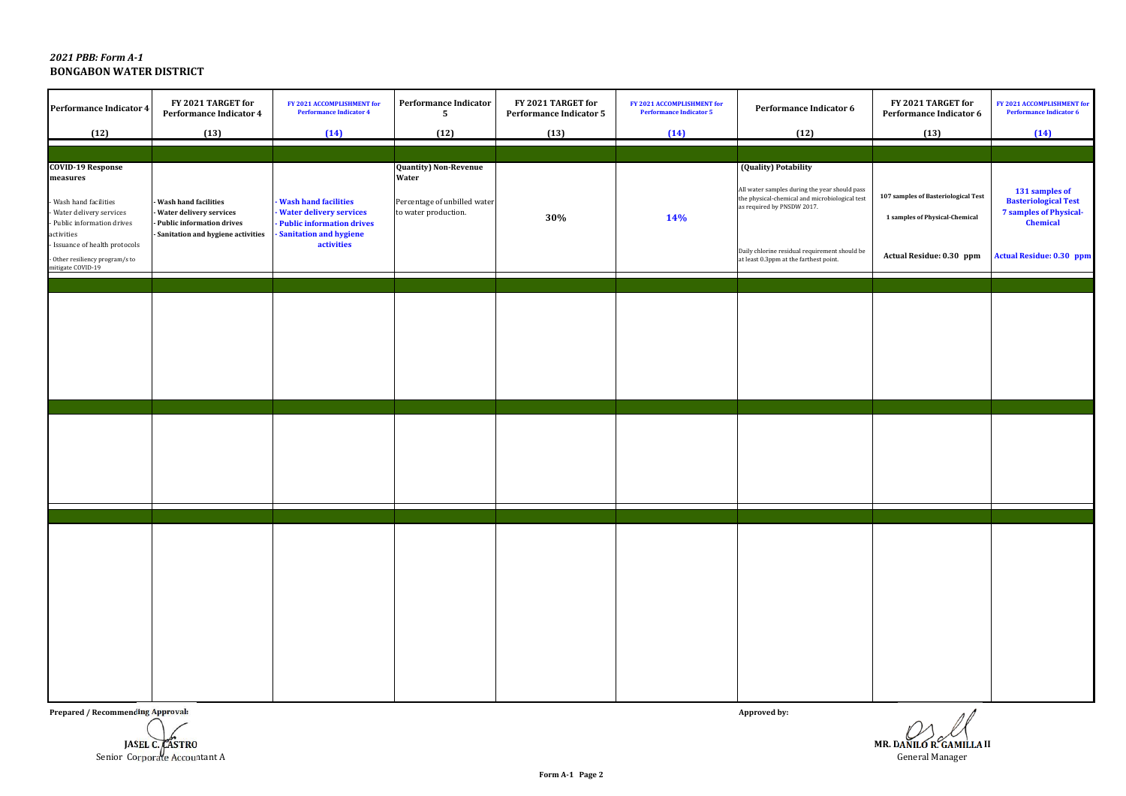## *2021 PBB: Form A-1***BONGABON WATER DISTRICT**

| <b>Performance Indicator 4</b>                                                                                                                                                                                                 | FY 2021 TARGET for<br><b>Performance Indicator 4</b>                                                                       | FY 2021 ACCOMPLISHMENT for<br><b>Performance Indicator 4</b>                                                                                | <b>Performance Indicator</b><br>5                                                             | FY 2021 TARGET for<br>Performance Indicator 5 | FY 2021 ACCOMPLISHMENT for<br><b>Performance Indicator 5</b> | Performance Indicator 6                                                                                                                                                                                                                          | FY 2021 TARGET for<br>Performance Indicator 6                                                     | FY 2021 ACCOMPLISHMENT for<br><b>Performance Indicator 6</b>                                                                  |
|--------------------------------------------------------------------------------------------------------------------------------------------------------------------------------------------------------------------------------|----------------------------------------------------------------------------------------------------------------------------|---------------------------------------------------------------------------------------------------------------------------------------------|-----------------------------------------------------------------------------------------------|-----------------------------------------------|--------------------------------------------------------------|--------------------------------------------------------------------------------------------------------------------------------------------------------------------------------------------------------------------------------------------------|---------------------------------------------------------------------------------------------------|-------------------------------------------------------------------------------------------------------------------------------|
| (12)                                                                                                                                                                                                                           | (13)                                                                                                                       | (14)                                                                                                                                        | (12)                                                                                          | (13)                                          | (14)                                                         | (12)                                                                                                                                                                                                                                             | (13)                                                                                              | (14)                                                                                                                          |
| <b>COVID-19 Response</b><br>measures<br>- Wash hand facilities<br>Water delivery services<br>- Public information drives<br>activities<br>Issuance of health protocols<br>- Other resiliency program/s to<br>mitigate COVID-19 | <b>Wash hand facilities</b><br>Water delivery services<br>- Public information drives<br>Sanitation and hygiene activities | <b>Wash hand facilities</b><br><b>Water delivery services</b><br>- Public information drives<br><b>Sanitation and hygiene</b><br>activities | <b>Quantity) Non-Revenue</b><br>Water<br>Percentage of unbilled water<br>to water production. | 30%                                           | 14%                                                          | (Quality) Potability<br>All water samples during the year should pass<br>the physical-chemical and microbiological test<br>as required by PNSDW 2017.<br>Daily chlorine residual requirement should be<br>at least 0.3ppm at the farthest point. | 107 samples of Basteriological Test<br>1 samples of Physical-Chemical<br>Actual Residue: 0.30 ppm | 131 samples of<br><b>Basteriological Test</b><br><b>7 samples of Physical-</b><br>Chemical<br><b>Actual Residue: 0.30 ppm</b> |
|                                                                                                                                                                                                                                |                                                                                                                            |                                                                                                                                             |                                                                                               |                                               |                                                              |                                                                                                                                                                                                                                                  |                                                                                                   |                                                                                                                               |
|                                                                                                                                                                                                                                |                                                                                                                            |                                                                                                                                             |                                                                                               |                                               |                                                              |                                                                                                                                                                                                                                                  |                                                                                                   |                                                                                                                               |
|                                                                                                                                                                                                                                |                                                                                                                            |                                                                                                                                             |                                                                                               |                                               |                                                              |                                                                                                                                                                                                                                                  |                                                                                                   |                                                                                                                               |

**Prepared / Recommending Approval:**



**Approved by:**

**MR. DANILO R. GAMILLA II**General Manager